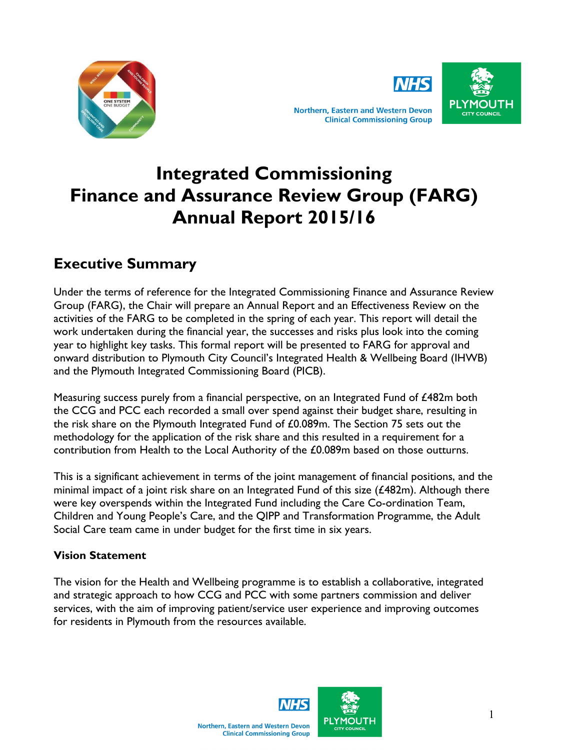





# **Integrated Commissioning Finance and Assurance Review Group (FARG) Annual Report 2015/16**

# **Executive Summary**

Under the terms of reference for the Integrated Commissioning Finance and Assurance Review Group (FARG), the Chair will prepare an Annual Report and an Effectiveness Review on the activities of the FARG to be completed in the spring of each year. This report will detail the work undertaken during the financial year, the successes and risks plus look into the coming year to highlight key tasks. This formal report will be presented to FARG for approval and onward distribution to Plymouth City Council's Integrated Health & Wellbeing Board (IHWB) and the Plymouth Integrated Commissioning Board (PICB).

Measuring success purely from a financial perspective, on an Integrated Fund of £482m both the CCG and PCC each recorded a small over spend against their budget share, resulting in the risk share on the Plymouth Integrated Fund of £0.089m. The Section 75 sets out the methodology for the application of the risk share and this resulted in a requirement for a contribution from Health to the Local Authority of the £0.089m based on those outturns.

This is a significant achievement in terms of the joint management of financial positions, and the minimal impact of a joint risk share on an Integrated Fund of this size (£482m). Although there were key overspends within the Integrated Fund including the Care Co-ordination Team, Children and Young People's Care, and the QIPP and Transformation Programme, the Adult Social Care team came in under budget for the first time in six years.

### **Vision Statement**

The vision for the Health and Wellbeing programme is to establish a collaborative, integrated and strategic approach to how CCG and PCC with some partners commission and deliver services, with the aim of improving patient/service user experience and improving outcomes for residents in Plymouth from the resources available.

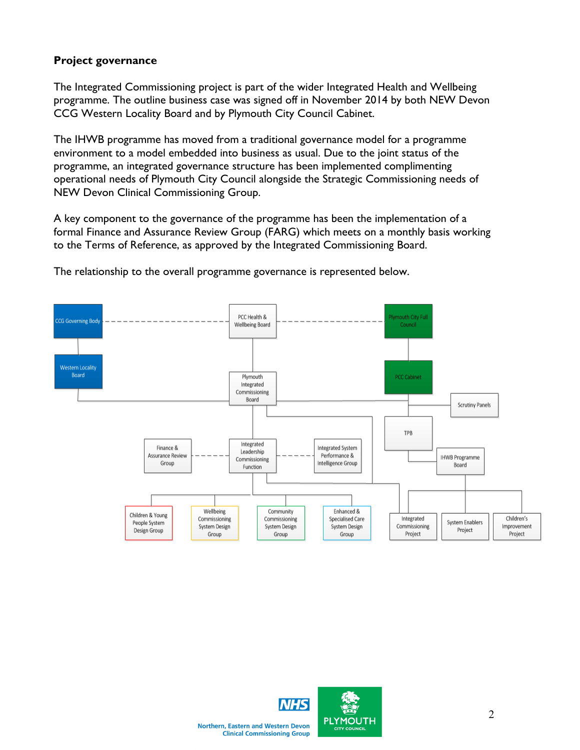#### **Project governance**

The Integrated Commissioning project is part of the wider Integrated Health and Wellbeing programme. The outline business case was signed off in November 2014 by both NEW Devon CCG Western Locality Board and by Plymouth City Council Cabinet.

The IHWB programme has moved from a traditional governance model for a programme environment to a model embedded into business as usual. Due to the joint status of the programme, an integrated governance structure has been implemented complimenting operational needs of Plymouth City Council alongside the Strategic Commissioning needs of NEW Devon Clinical Commissioning Group.

A key component to the governance of the programme has been the implementation of a formal Finance and Assurance Review Group (FARG) which meets on a monthly basis working to the Terms of Reference, as approved by the Integrated Commissioning Board.



The relationship to the overall programme governance is represented below.

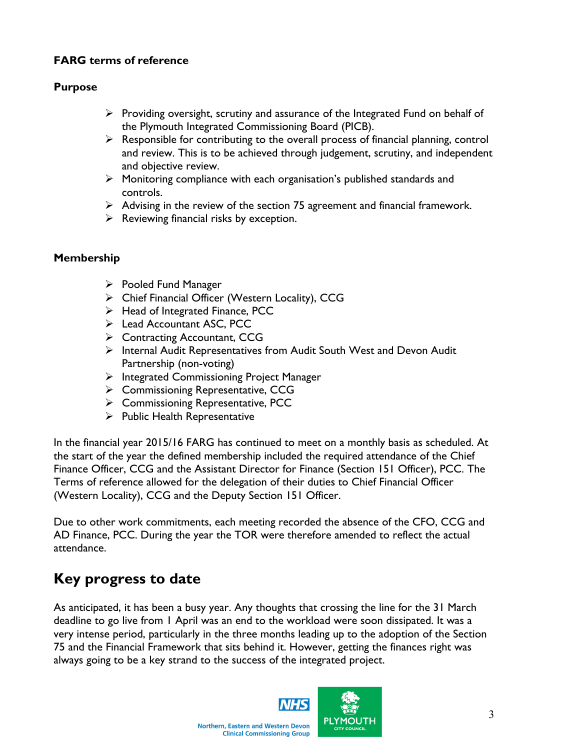### **FARG terms of reference**

#### **Purpose**

- $\triangleright$  Providing oversight, scrutiny and assurance of the Integrated Fund on behalf of the Plymouth Integrated Commissioning Board (PICB).
- $\triangleright$  Responsible for contributing to the overall process of financial planning, control and review. This is to be achieved through judgement, scrutiny, and independent and objective review.
- $\triangleright$  Monitoring compliance with each organisation's published standards and controls.
- $\triangleright$  Advising in the review of the section 75 agreement and financial framework.
- $\triangleright$  Reviewing financial risks by exception.

### **Membership**

- $\triangleright$  Pooled Fund Manager
- Chief Financial Officer (Western Locality), CCG
- $\triangleright$  Head of Integrated Finance, PCC
- Lead Accountant ASC, PCC
- $\triangleright$  Contracting Accountant, CCG
- $\triangleright$  Internal Audit Representatives from Audit South West and Devon Audit Partnership (non-voting)
- $\triangleright$  Integrated Commissioning Project Manager
- $\triangleright$  Commissioning Representative, CCG
- $\triangleright$  Commissioning Representative, PCC
- $\triangleright$  Public Health Representative

In the financial year 2015/16 FARG has continued to meet on a monthly basis as scheduled. At the start of the year the defined membership included the required attendance of the Chief Finance Officer, CCG and the Assistant Director for Finance (Section 151 Officer), PCC. The Terms of reference allowed for the delegation of their duties to Chief Financial Officer (Western Locality), CCG and the Deputy Section 151 Officer.

Due to other work commitments, each meeting recorded the absence of the CFO, CCG and AD Finance, PCC. During the year the TOR were therefore amended to reflect the actual attendance.

# **Key progress to date**

As anticipated, it has been a busy year. Any thoughts that crossing the line for the 31 March deadline to go live from 1 April was an end to the workload were soon dissipated. It was a very intense period, particularly in the three months leading up to the adoption of the Section 75 and the Financial Framework that sits behind it. However, getting the finances right was always going to be a key strand to the success of the integrated project.

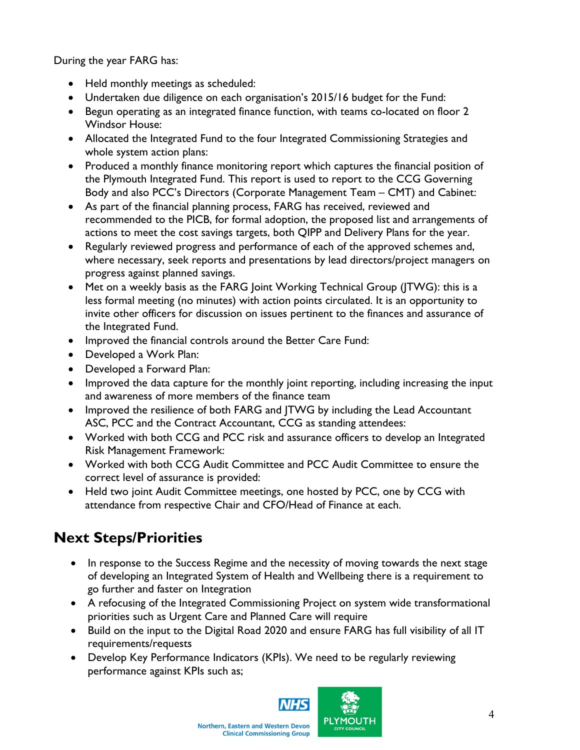During the year FARG has:

- Held monthly meetings as scheduled:
- Undertaken due diligence on each organisation's 2015/16 budget for the Fund:
- Begun operating as an integrated finance function, with teams co-located on floor 2 Windsor House:
- Allocated the Integrated Fund to the four Integrated Commissioning Strategies and whole system action plans:
- Produced a monthly finance monitoring report which captures the financial position of the Plymouth Integrated Fund. This report is used to report to the CCG Governing Body and also PCC's Directors (Corporate Management Team – CMT) and Cabinet:
- As part of the financial planning process, FARG has received, reviewed and recommended to the PICB, for formal adoption, the proposed list and arrangements of actions to meet the cost savings targets, both QIPP and Delivery Plans for the year.
- Regularly reviewed progress and performance of each of the approved schemes and, where necessary, seek reports and presentations by lead directors/project managers on progress against planned savings.
- Met on a weekly basis as the FARG Joint Working Technical Group (JTWG): this is a less formal meeting (no minutes) with action points circulated. It is an opportunity to invite other officers for discussion on issues pertinent to the finances and assurance of the Integrated Fund.
- Improved the financial controls around the Better Care Fund:
- Developed a Work Plan:
- Developed a Forward Plan:
- Improved the data capture for the monthly joint reporting, including increasing the input and awareness of more members of the finance team
- Improved the resilience of both FARG and JTWG by including the Lead Accountant ASC, PCC and the Contract Accountant, CCG as standing attendees:
- Worked with both CCG and PCC risk and assurance officers to develop an Integrated Risk Management Framework:
- Worked with both CCG Audit Committee and PCC Audit Committee to ensure the correct level of assurance is provided:
- Held two joint Audit Committee meetings, one hosted by PCC, one by CCG with attendance from respective Chair and CFO/Head of Finance at each.

# **Next Steps/Priorities**

- In response to the Success Regime and the necessity of moving towards the next stage of developing an Integrated System of Health and Wellbeing there is a requirement to go further and faster on Integration
- A refocusing of the Integrated Commissioning Project on system wide transformational priorities such as Urgent Care and Planned Care will require
- Build on the input to the Digital Road 2020 and ensure FARG has full visibility of all IT requirements/requests
- Develop Key Performance Indicators (KPIs). We need to be regularly reviewing performance against KPIs such as;

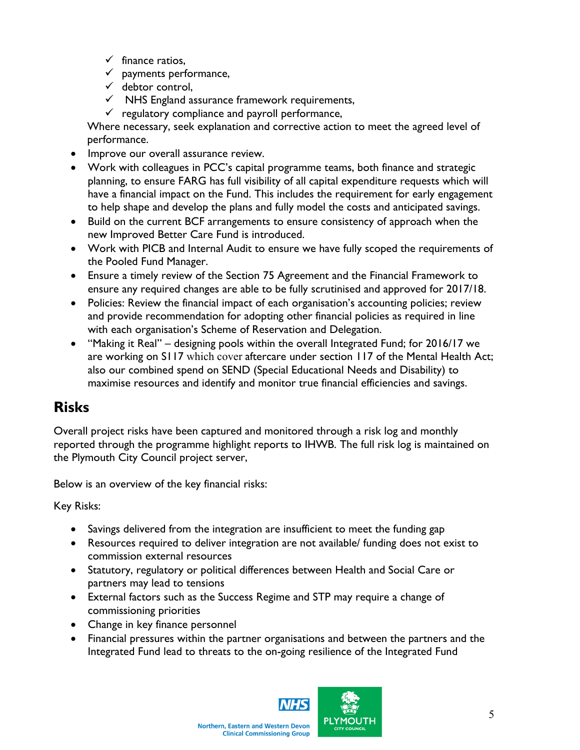- $\checkmark$  finance ratios,
- $\checkmark$  payments performance,
- $\checkmark$  debtor control,
- $\checkmark$  NHS England assurance framework requirements,
- $\checkmark$  regulatory compliance and payroll performance,

Where necessary, seek explanation and corrective action to meet the agreed level of performance.

- Improve our overall assurance review.
- Work with colleagues in PCC's capital programme teams, both finance and strategic planning, to ensure FARG has full visibility of all capital expenditure requests which will have a financial impact on the Fund. This includes the requirement for early engagement to help shape and develop the plans and fully model the costs and anticipated savings.
- Build on the current BCF arrangements to ensure consistency of approach when the new Improved Better Care Fund is introduced.
- Work with PICB and Internal Audit to ensure we have fully scoped the requirements of the Pooled Fund Manager.
- Ensure a timely review of the Section 75 Agreement and the Financial Framework to ensure any required changes are able to be fully scrutinised and approved for 2017/18.
- Policies: Review the financial impact of each organisation's accounting policies; review and provide recommendation for adopting other financial policies as required in line with each organisation's Scheme of Reservation and Delegation.
- "Making it Real" designing pools within the overall Integrated Fund; for 2016/17 we are working on S117 which cover aftercare under section 117 of the Mental Health Act; also our combined spend on SEND (Special Educational Needs and Disability) to maximise resources and identify and monitor true financial efficiencies and savings.

# **Risks**

Overall project risks have been captured and monitored through a risk log and monthly reported through the programme highlight reports to IHWB. The full risk log is maintained on the Plymouth City Council project server,

Below is an overview of the key financial risks:

Key Risks:

- Savings delivered from the integration are insufficient to meet the funding gap
- Resources required to deliver integration are not available/ funding does not exist to commission external resources
- Statutory, regulatory or political differences between Health and Social Care or partners may lead to tensions
- External factors such as the Success Regime and STP may require a change of commissioning priorities
- Change in key finance personnel
- Financial pressures within the partner organisations and between the partners and the Integrated Fund lead to threats to the on-going resilience of the Integrated Fund